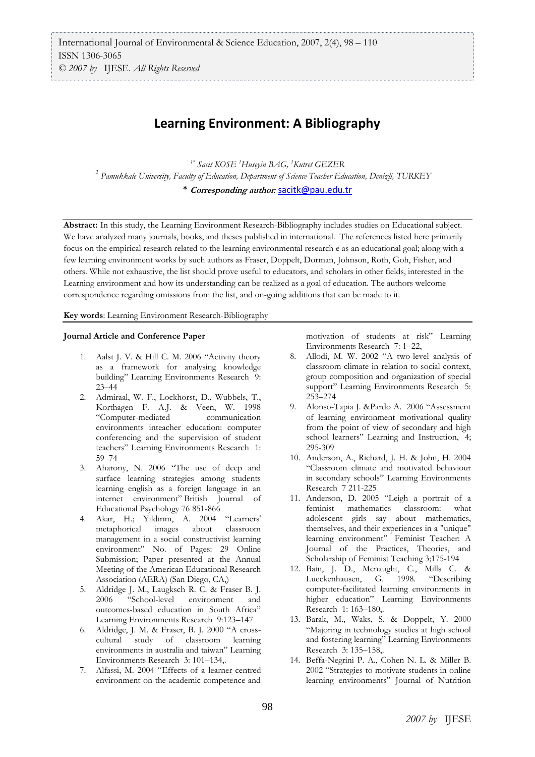## **Learning Environment: A Bibliography**

*1\* Sacit KOSE <sup>1</sup>Huseyin BAG, <sup>1</sup>Kutret GEZER 1 Pamukkale University, Faculty of Education, Department of Science Teacher Education, Denizli, TURKEY* \* **Corresponding author***:* [sacitk@pau.edu.tr](mailto:sacitk@pau.edu.tr)

**Abstract:** In this study, the Learning Environment Research-Bibliography includes studies on Educational subject. We have analyzed many journals, books, and theses published in international. The references listed here primarily focus on the empirical research related to the learning environmental research e as an educational goal; along with a few learning environment works by such authors as Fraser, Doppelt, Dorman, Johnson, Roth, Goh, Fisher, and others. While not exhaustive, the list should prove useful to educators, and scholars in other fields, interested in the Learning environment and how its understanding can be realized as a goal of education. The authors welcome correspondence regarding omissions from the list, and on-going additions that can be made to it.

**Key words**: Learning Environment Research-Bibliography

## **Journal Article and Conference Paper**

- 1. Aalst J. V. & Hill C. M. 2006 "Activity theory as a framework for analysing knowledge building" Learning Environments Research 9: 23–44
- 2. Admiraal, W. F., Lockhorst, D., Wubbels, T., Korthagen F. A.J. & Veen, W. 1998 "Computer-mediated communication environments inteacher education: computer conferencing and the supervision of student teachers" Learning Environments Research 1: 59–74
- 3. Aharony, N. 2006 "The use of deep and surface learning strategies among students learning english as a foreign language in an internet environment" British Journal of Educational Psychology 76 851-866
- 4. Akar, H.; Yıldırım, A. 2004 "[Learners'](http://firstsearch.oclc.org/WebZ/FSFETCH?fetchtype=fullrecord:sessionid=fsapp8-50188-f0gca2s9-u8f1tc:entitypagenum=20:0:recno=77:resultset=7:format=FI:next=html/record.html:bad=error/badfetch.html:entitytoprecno=77:entitycurrecno=77:numrecs=1) [metaphorical images about classroom](http://firstsearch.oclc.org/WebZ/FSFETCH?fetchtype=fullrecord:sessionid=fsapp8-50188-f0gca2s9-u8f1tc:entitypagenum=20:0:recno=77:resultset=7:format=FI:next=html/record.html:bad=error/badfetch.html:entitytoprecno=77:entitycurrecno=77:numrecs=1)  [management in a social constructivist learning](http://firstsearch.oclc.org/WebZ/FSFETCH?fetchtype=fullrecord:sessionid=fsapp8-50188-f0gca2s9-u8f1tc:entitypagenum=20:0:recno=77:resultset=7:format=FI:next=html/record.html:bad=error/badfetch.html:entitytoprecno=77:entitycurrecno=77:numrecs=1)  [environment](http://firstsearch.oclc.org/WebZ/FSFETCH?fetchtype=fullrecord:sessionid=fsapp8-50188-f0gca2s9-u8f1tc:entitypagenum=20:0:recno=77:resultset=7:format=FI:next=html/record.html:bad=error/badfetch.html:entitytoprecno=77:entitycurrecno=77:numrecs=1)" No. of Pages: 29 Online Submission; Paper presented at the Annual Meeting of the American Educational Research Association (AERA) (San Diego, CA,)
- 5. Aldridge J. M., Laugksch R. C. & Fraser B. J. 2006 "School-level environment and outcomes-based education in South Africa" Learning Environments Research 9:123–147
- 6. Aldridge, J. M. & Fraser, B. J. 2000 "A crosscultural study of classroom learning environments in australia and taiwan" Learning Environments Research 3: 101–134,.
- 7. Alfassi, M. 2004 "Effects of a learner-centred environment on the academic competence and

motivation of students at risk" Learning Environments Research 7: 1–22,

- 8. Allodi, M. W. 2002 "A two-level analysis of classroom climate in relation to social context, group composition and organization of special support" Learning Environments Research 5: 253–274
- 9. Alonso-Tapia J. &Pardo A. 2006 "Assessment of learning environment motivational quality from the point of view of secondary and high school learners" Learning and Instruction, 4; 295-309
- 10. Anderson, A., Richard, J. H. & John, H. 2004 "Classroom climate and motivated behaviour in secondary schools" Learning Environments Research 7 211-225
- 11. Anderson, D. 2005 "Leigh a portrait of a feminist mathematics classroom: what adolescent girls say about mathematics, themselves, and their experiences in a "unique" learning environment" Feminist Teacher: A Journal of the Practices, Theories, and Scholarship of Feminist Teaching 3;175-194
- 12. Bain, J. D., Mcnaught, C., Mills C. & Lueckenhausen, G. 1998. "Describing computer-facilitated learning environments in higher education" Learning Environments Research 1: 163–180,.
- 13. Barak, M., Waks, S. & Doppelt, Y. 2000 "Majoring in technology studies at high school and fostering learning" Learning Environments Research 3: 135–158,.
- 14. Beffa-Negrini P. A., Cohen N. L. & Miller B. 2002 "Strategies to motivate students in online learning environments" Journal of Nutrition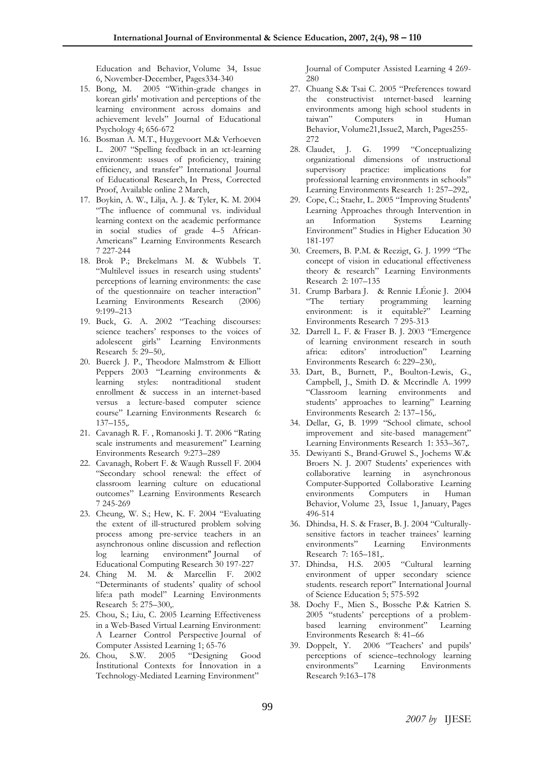Education and Behavior, Volume 34, Issue 6, November-December, Pages334-340

- 15. Bong, M. 2005 "Within-grade changes in korean girls' motivation and perceptions of the learning environment across domains and achievement levels" Journal of Educational Psychology 4; 656-672
- 16. Bosman A. M.T., Huygevoort M.& Verhoeven L. 2007 "Spelling feedback in an ıct-learning environment: ıssues of proficiency, training efficiency, and transfer" International Journal of Educational Research, In Press, Corrected Proof, Available online 2 March,
- 17. Boykin, A. W., Lilja, A. J. & Tyler, K. M. 2004 "The influence of communal vs. individual learning context on the academic performance in social studies of grade 4–5 African-Americans" Learning Environments Research 7 227-244
- 18. Brok P.; Brekelmans M. & Wubbels T. "Multilevel issues in research using students' perceptions of learning environments: the case of the questionnaire on teacher interaction" Learning Environments Research (2006) 9:199–213
- 19. Buck, G. A. 2002 "Teaching discourses: science teachers' responses to the voices of adolescent girls" Learning Environments Research 5: 29–50,.
- 20. Buerck J. P., Theodore Malmstrom & Elliott Peppers 2003 "Learning environments & learning styles: nontraditional student enrollment & success in an internet-based versus a lecture-based computer science course" Learning Environments Research 6: 137–155,.
- 21. Cavanagh R. F. , Romanoski J. T. 2006 "Rating scale instruments and measurement" Learning Environments Research 9:273–289
- 22. Cavanagh, Robert F. & Waugh Russell F. 2004 "Secondary school renewal: the effect of classroom learning culture on educational outcomes" Learning Environments Research 7 245-269
- 23. Cheung, W. S.; Hew, K. F. 2004 "Evaluating the extent of ill-structured problem solving process among pre-service teachers in an asynchronous online discussion and reflection log learning environment" Journal of Educational Computing Research 30 197-227
- 24. Ching M. M. & Marcellin F. 2002 "Determinants of students' quality of school life:a path model" Learning Environments Research 5: 275–300,.
- 25. Chou, S.; Liu, C. 2005 [Learning Effectiveness](http://firstsearch.oclc.org/WebZ/FSFETCH?fetchtype=fullrecord:sessionid=fsapp8-50188-f0gca2s9-u8f1tc:entitypagenum=16:0:recno=32:resultset=7:format=FI:next=html/record.html:bad=error/badfetch.html:entitytoprecno=32:entitycurrecno=32:numrecs=1)  [in a Web-Based Virtual Learning Environment:](http://firstsearch.oclc.org/WebZ/FSFETCH?fetchtype=fullrecord:sessionid=fsapp8-50188-f0gca2s9-u8f1tc:entitypagenum=16:0:recno=32:resultset=7:format=FI:next=html/record.html:bad=error/badfetch.html:entitytoprecno=32:entitycurrecno=32:numrecs=1)  [A Learner Control Perspective](http://firstsearch.oclc.org/WebZ/FSFETCH?fetchtype=fullrecord:sessionid=fsapp8-50188-f0gca2s9-u8f1tc:entitypagenum=16:0:recno=32:resultset=7:format=FI:next=html/record.html:bad=error/badfetch.html:entitytoprecno=32:entitycurrecno=32:numrecs=1) Journal of Computer Assisted Learning 1; 65-76
- 26. Chou, S.W. 2005 "[Designing Good](http://firstsearch.oclc.org/WebZ/FSFETCH?fetchtype=fullrecord:sessionid=fsapp8-50188-f0gca2s9-u8f1tc:entitypagenum=16:0:recno=38:resultset=7:format=FI:next=html/record.html:bad=error/badfetch.html:entitytoprecno=38:entitycurrecno=38:numrecs=1)  [İnstitutional Contexts for İnnovation in a](http://firstsearch.oclc.org/WebZ/FSFETCH?fetchtype=fullrecord:sessionid=fsapp8-50188-f0gca2s9-u8f1tc:entitypagenum=16:0:recno=38:resultset=7:format=FI:next=html/record.html:bad=error/badfetch.html:entitytoprecno=38:entitycurrecno=38:numrecs=1)  [Technology-Mediated Learning Environment](http://firstsearch.oclc.org/WebZ/FSFETCH?fetchtype=fullrecord:sessionid=fsapp8-50188-f0gca2s9-u8f1tc:entitypagenum=16:0:recno=38:resultset=7:format=FI:next=html/record.html:bad=error/badfetch.html:entitytoprecno=38:entitycurrecno=38:numrecs=1)"

Journal of Computer Assisted Learning 4 269- 280

- 27. Chuang S.& Tsai C. 2005 "Preferences toward the constructivist ınternet-based learning environments among high school students in taiwan" Computers in Human Behavior, Volume21,Issue2, March, Pages255- 272
- 28. Claudet, J. G. 1999 "Conceptualizing organizational dimensions of ınstructional supervisory practice: implications for professional learning environments in schools" Learning Environments Research 1: 257–292,.
- 29. Cope, C.; Staehr, L. 2005 "İmproving Students' Learning Approaches through Intervention in an Information Systems Learning Environment" Studies in Higher Education 30 181-197
- 30. Creemers, B. P.M. & Reezigt, G. J. 1999 "The concept of vision in educational effectiveness theory & research" Learning Environments Research 2: 107–135
- 31. Crump Barbara J. & Rennie LÉonie J. 2004 tertiary programming learning environment: is it equitable?" Learning Environments Research 7 295-313
- 32. Darrell L. F. & Fraser B. J. 2003 "Emergence of learning environment research in south africa: editors' introduction" Learning Environments Research 6: 229–230,.
- 33. Dart, B., Burnett, P., Boulton-Lewis, G., Campbell, J., Smith D. & Mccrindle A. 1999 "Classroom learning environments and students' approaches to learning" Learning Environments Research 2: 137–156,.
- 34. Dellar, G, B. 1999 "School climate, school improvement and site-based management" Learning Environments Research 1: 353–367,.
- 35. Dewiyanti S., Brand-Gruwel S., Jochems W.& Broers N. J. 2007 Students' experiences with collaborative learning in asynchronous Computer-Supported Collaborative Learning environments Computers in Human Behavior, Volume 23, Issue 1, January, Pages 496-514
- 36. Dhindsa, H. S. & Fraser, B. J. 2004 "Culturallysensitive factors in teacher trainees' learning environments" Learning Environments Research 7: 165–181,.
- 37. Dhindsa, H.S. 2005 "Cultural learning environment of upper secondary science students. research report" International Journal of Science Education 5; 575-592
- 38. Dochy F., Mien S., Bossche P.& Katrien S. 2005 "students' perceptions of a problembased learning environment" Learning Environments Research 8: 41–66
- 39. Doppelt, Y. 2006 "Teachers' and pupils' perceptions of science–technology learning environments" Learning Environments Research 9:163–178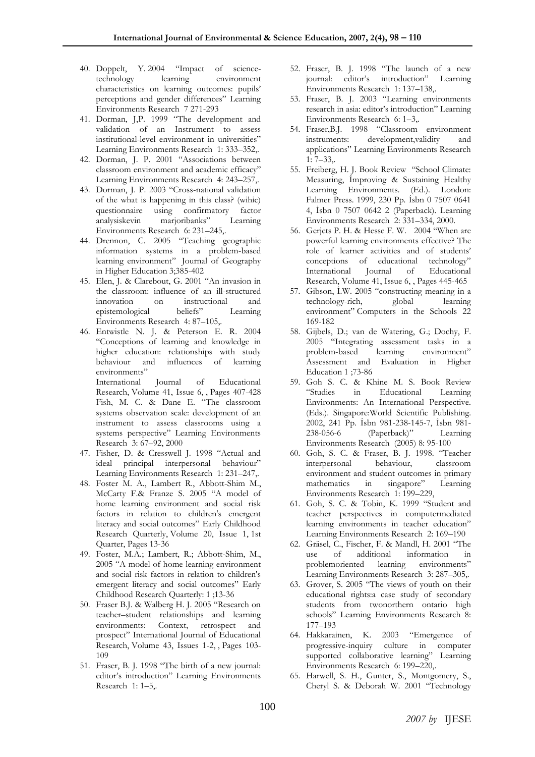- 40. Doppelt, Y. 2004 "Impact of sciencetechnology learning environment characteristics on learning outcomes: pupils' perceptions and gender differences" Learning Environments Research 7 271-293
- 41. Dorman, J,P. 1999 "The development and validation of an Instrument to assess institutional-level environment in universities" Learning Environments Research 1: 333–352,.
- 42. Dorman, J. P. 2001 "Associations between classroom environment and academic efficacy" Learning Environments Research 4: 243–257,.
- 43. Dorman, J. P. 2003 "Cross-national validation of the what is happening in this class? (wihic) questionnaire using confirmatory factor analysiskevin marjoribanks" Learning Environments Research 6: 231–245,.
- 44. Drennon, C. 2005 "[Teaching geographic](http://firstsearch.oclc.org/WebZ/FSFETCH?fetchtype=fullrecord:sessionid=fsapp8-50188-f0gca2s9-u8f1tc:entitypagenum=17:0:recno=48:resultset=7:format=FI:next=html/record.html:bad=error/badfetch.html:entitytoprecno=48:entitycurrecno=48:numrecs=1)  [information systems in a problem-based](http://firstsearch.oclc.org/WebZ/FSFETCH?fetchtype=fullrecord:sessionid=fsapp8-50188-f0gca2s9-u8f1tc:entitypagenum=17:0:recno=48:resultset=7:format=FI:next=html/record.html:bad=error/badfetch.html:entitytoprecno=48:entitycurrecno=48:numrecs=1)  [learning environment](http://firstsearch.oclc.org/WebZ/FSFETCH?fetchtype=fullrecord:sessionid=fsapp8-50188-f0gca2s9-u8f1tc:entitypagenum=17:0:recno=48:resultset=7:format=FI:next=html/record.html:bad=error/badfetch.html:entitytoprecno=48:entitycurrecno=48:numrecs=1)" Journal of Geography in Higher Education 3;385-402
- 45. Elen, J. & Clarebout, G. 2001 "An invasion in the classroom: influence of an ill-structured innovation on instructional and<br>epistemological beliefs" Learning epistemological beliefs" Learning Environments Research 4: 87–105,.
- 46. Entwistle N. J. & Peterson E. R. 2004 "Conceptions of learning and knowledge in higher education: relationships with study behaviour and influences of learning environments" International Journal of Educational

Research, Volume 41, Issue 6, , Pages 407-428 Fish, M. C. & Dane E. "The classroom systems observation scale: development of an instrument to assess classrooms using a systems perspective" Learning Environments Research 3: 67–92, 2000

- 47. Fisher, D. & Cresswell J. 1998 "Actual and ideal principal interpersonal behaviour" Learning Environments Research 1: 231–247,.
- 48. Foster M. A., Lambert R., Abbott-Shim M., McCarty F.& Franze S. 2005 "A model of home learning environment and social risk factors in relation to children's emergent literacy and social outcomes" Early Childhood Research Quarterly, Volume 20, Issue 1, 1st Quarter, Pages 13-36
- 49. Foster, M.A.; Lambert, R.; Abbott-Shim, M., 2005 "A model of home learning environment and social risk factors in relation to children's emergent literacy and social outcomes" Early Childhood Research Quarterly: 1 ;13-36
- 50. Fraser B.J. & Walberg H. J. 2005 "Research on teacher–student relationships and learning environments: Context, retrospect and prospect" International Journal of Educational Research, Volume 43, Issues 1-2, , Pages 103- 109
- 51. Fraser, B. J. 1998 "The birth of a new journal: editor's introduction" Learning Environments Research 1: 1–5,.
- 52. Fraser, B. J. 1998 "The launch of a new journal: editor's introduction" Learning Environments Research 1: 137–138,.
- 53. Fraser, B. J. 2003 "Learning environments research in asia: editor's introduction" Learning Environments Research 6: 1–3,.
- 54. Fraser,B.J. 1998 "Classroom environment instruments: development,validity and applications" Learning Environments Research 1: 7–33,.
- 55. Freiberg, H. J. Book Review "School Climate: Measuring, İmproving & Sustaining Healthy Learning Environments. (Ed.). London: Falmer Press. 1999, 230 Pp. İsbn 0 7507 0641 4, İsbn 0 7507 0642 2 (Paperback). Learning Environments Research 2: 331–334, 2000.
- 56. Gerjets P. H. & Hesse F. W. 2004 "When are powerful learning environments effective? The role of learner activities and of students' conceptions of educational technology" International Journal of Educational Research, Volume 41, Issue 6, , Pages 445-465
- 57. Gibson, İ.W. 2005 "constructing meaning in a technology-rich, global learning environment" Computers in the Schools 22 169-182
- 58. Gijbels, D.; van de Watering, G.; Dochy, F. 2005 "Integrating assessment tasks in a problem-based learning environment" Assessment and Evaluation in Higher Education 1 ;73-86
- 59. Goh S. C. & Khine M. S. Book Review "Studies in Educational Learning Environments: An İnternational Perspective. (Eds.). Singapore:World Scientific Publishing. 2002, 241 Pp. İsbn 981-238-145-7, İsbn 981- 238-056-6 (Paperback)" Learning Environments Research (2005) 8: 95-100
- 60. Goh, S. C. & Fraser, B. J. 1998. "Teacher interpersonal behaviour, classroom environment and student outcomes in primary mathematics in singapore" Learning Environments Research 1: 199–229,
- 61. Goh, S. C. & Tobin, K. 1999 "Student and teacher perspectives in computermediated learning environments in teacher education" Learning Environments Research 2: 169–190
- 62. Gräsel, C., Fischer, F. & Mandl, H. 2001 "The use of additional information in problemoriented learning environments" Learning Environments Research 3: 287–305,.
- 63. Grover, S. 2005 "The views of youth on their educational rights:a case study of secondary students from twonorthern ontario high schools" Learning Environments Research 8: 177–193
- 64. Hakkarainen, K. 2003 "Emergence of progressive-inquiry culture in computer supported collaborative learning" Learning Environments Research 6: 199–220,.
- 65. Harwell, S. H., Gunter, S., Montgomery, S., Cheryl S. & Deborah W. 2001 "Technology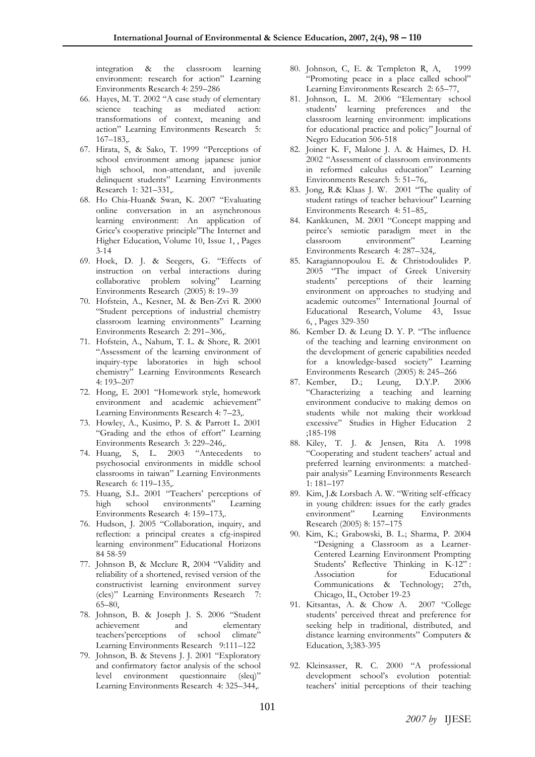integration & the classroom learning environment: research for action" Learning Environments Research 4: 259–286

- 66. Hayes, M. T. 2002 "A case study of elementary science teaching as mediated action: transformations of context, meaning and action" Learning Environments Research 5: 167–183,.
- 67. Hirata, S, & Sako, T. 1999 "Perceptions of school environment among japanese junior high school, non-attendant, and juvenile delinquent students" Learning Environments Research 1: 321–331,.
- 68. Ho Chia-Huan& Swan, K. 2007 "Evaluating online conversation in an asynchronous learning environment: An application of Grice's cooperative principle"The Internet and Higher Education, Volume 10, Issue 1, , Pages 3-14
- 69. Hoek, D. J. & Seegers, G. "Effects of instruction on verbal interactions during collaborative problem solving" Learning Environments Research (2005) 8: 19–39
- 70. Hofstein, A., Kesner, M. & Ben-Zvi R. 2000 "Student perceptions of industrial chemistry classroom learning environments" Learning Environments Research 2: 291–306,.
- 71. Hofstein, A., Nahum, T. L. & Shore, R. 2001 "Assessment of the learning environment of inquiry-type laboratories in high school chemistry" Learning Environments Research 4: 193–207
- 72. Hong, E. 2001 "Homework style, homework environment and academic achievement" Learning Environments Research 4: 7–23,.
- 73. Howley, A., Kusimo, P. S. & Parrott L. 2001 "Grading and the ethos of effort" Learning Environments Research 3: 229–246,.
- 74. Huang, S, L. 2003 "Antecedents to psychosocial environments in middle school classrooms in taiwan" Learning Environments Research 6: 119–135,.
- 75. Huang, S.L. 2001 "Teachers' perceptions of high school environments" Learning Environments Research 4: 159–173,.
- 76. Hudson, J. 2005 "Collaboration, inquiry, and reflection: a principal creates a cfg-inspired learning environment" Educational Horizons 84 58-59
- 77. Johnson B, & Mcclure R, 2004 "Validity and reliability of a shortened, revised version of the constructivist learning environment survey (cles)" Learning Environments Research 7: 65–80,
- 78. Johnson, B. & Joseph J. S. 2006 "Student achievement and elementary teachers'perceptions of school climate" Learning Environments Research 9:111–122
- 79. Johnson, B. & Stevens J. J. 2001 "Exploratory and confirmatory factor analysis of the school level environment questionnaire (sleq)" Learning Environments Research 4: 325–344,.
- 80. Johnson, C, E. & Templeton R, A, 1999 "Promoting peace in a place called school" Learning Environments Research 2: 65–77,
- 81. Johnson, L. M. 2006 "Elementary school students' learning preferences and the classroom learning environment: implications for educational practice and policy" Journal of Negro Education 506-518
- 82. Joiner K. F, Malone J. A. & Haimes, D. H. 2002 "Assessment of classroom environments in reformed calculus education" Learning Environments Research 5: 51–76,.
- 83. Jong, R.& Klaas J. W. 2001 "The quality of student ratings of teacher behaviour" Learning Environments Research 4: 51–85,.
- 84. Kankkunen, M. 2001 "Concept mapping and peirce's semiotic paradigm meet in the classroom environment" Learning Environments Research 4: 287–324,.
- 85. Karagiannopoulou E. & Christodoulides P. 2005 "The impact of Greek University students' perceptions of their learning environment on approaches to studying and academic outcomes" International Journal of Educational Research, Volume 43, Issue 6, , Pages 329-350
- 86. Kember D. & Leung D. Y. P. "The influence of the teaching and learning environment on the development of generic capabilities needed for a knowledge-based society" Learning Environments Research (2005) 8: 245–266
- 87. Kember, D.; Leung, D.Y.P. 2006 "Characterizing a teaching and learning environment conducive to making demos on students while not making their workload excessive" Studies in Higher Education 2 ;185-198
- 88. Kiley, T. J. & Jensen, Rita A. 1998 "Cooperating and student teachers' actual and preferred learning environments: a matchedpair analysis" Learning Environments Research 1: 181–197
- 89. Kim, J.& Lorsbach A. W. "Writing self-efficacy in young children: issues for the early grades environment" Learning Environments Research (2005) 8: 157–175
- 90. Kim, K.; Grabowski, B. L.; Sharma, P. 2004 "Designing a Classroom as a Learner-Centered Learning Environment Prompting Students' Reflective Thinking in K-12" : Association for Educational Communications & Technology; 27th, Chicago, İL, October 19-23
- 91. Kitsantas, A. & Chow A. 2007 "College students' perceived threat and preference for seeking help in traditional, distributed, and distance learning environments" Computers & Education, 3;383-395
- 92. Kleinsasser, R. C. 2000 "A professional development school's evolution potential: teachers' initial perceptions of their teaching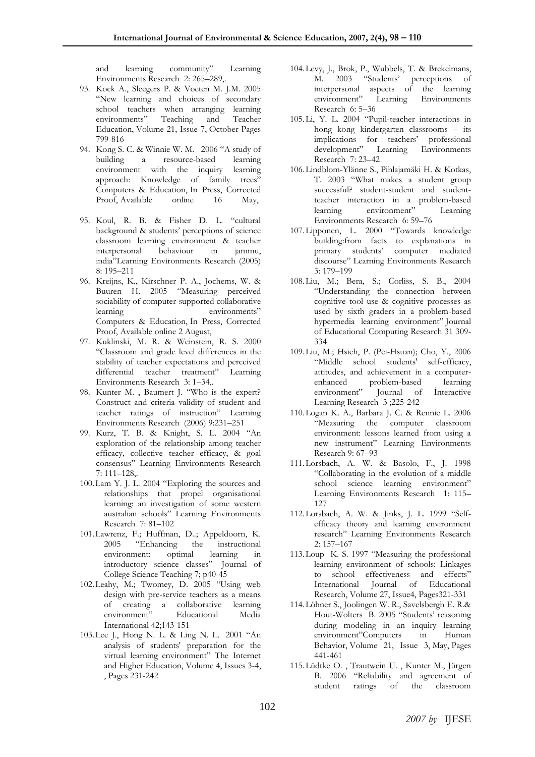and learning community" Learning Environments Research 2: 265–289,.

- 93. Kock A., Sleegers P. & Voeten M. J.M. 2005 "New learning and choices of secondary school teachers when arranging learning environments" Teaching and Teacher Education, Volume 21, Issue 7, October Pages 799-816
- 94. Kong S. C. & Winnie W. M. 2006 "A study of building a resource-based learning environment with the inquiry learning approach: Knowledge of family trees" Computers & Education, In Press, Corrected Proof, Available online 16 May,
- 95. Koul, R. B. & Fisher D. L. "cultural background & students' perceptions of science classroom learning environment & teacher interpersonal behaviour in jammu, india"Learning Environments Research (2005) 8: 195–211
- 96. Kreijns, K., Kirschner P. A., Jochems, W. & Buuren H. 2005 "Measuring perceived sociability of computer-supported collaborative learning environments" Computers & Education, In Press, Corrected Proof, Available online 2 August,
- 97. Kuklinski, M. R. & Weinstein, R. S. 2000 "Classroom and grade level differences in the stability of teacher expectations and perceived differential teacher treatment" Learning Environments Research 3: 1–34,.
- 98. Kunter M. , Baumert J. "Who is the expert? Construct and criteria validity of student and teacher ratings of instruction" Learning Environments Research (2006) 9:231–251
- 99. Kurz, T. B. & Knight, S. L. 2004 "An exploration of the relationship among teacher efficacy, collective teacher efficacy, & goal consensus" Learning Environments Research 7: 111–128,.
- 100.Lam Y. J. L. 2004 "Exploring the sources and relationships that propel organisational learning: an investigation of some western australian schools" Learning Environments Research 7: 81–102
- 101.Lawrenz, F.; Huffman, D..; Appeldoorn, K. 2005 "[Enhancing the instructional](http://firstsearch.oclc.org/WebZ/FSFETCH?fetchtype=fullrecord:sessionid=fsapp8-50188-f0gca2s9-u8f1tc:entitypagenum=17:0:recno=42:resultset=7:format=FI:next=html/record.html:bad=error/badfetch.html:entitytoprecno=42:entitycurrecno=42:numrecs=1)  [environment: optimal learning in](http://firstsearch.oclc.org/WebZ/FSFETCH?fetchtype=fullrecord:sessionid=fsapp8-50188-f0gca2s9-u8f1tc:entitypagenum=17:0:recno=42:resultset=7:format=FI:next=html/record.html:bad=error/badfetch.html:entitytoprecno=42:entitycurrecno=42:numrecs=1)  [introductory science classes](http://firstsearch.oclc.org/WebZ/FSFETCH?fetchtype=fullrecord:sessionid=fsapp8-50188-f0gca2s9-u8f1tc:entitypagenum=17:0:recno=42:resultset=7:format=FI:next=html/record.html:bad=error/badfetch.html:entitytoprecno=42:entitycurrecno=42:numrecs=1)" Journal of College Science Teaching 7; p40-45
- 102.Leahy, M.; Twomey, D. 2005 "Using web design with pre-service teachers as a means of creating a collaborative learning environment" Educational Media İnternational 42;143-151
- 103.Lee J., Hong N. L. & Ling N. L. 2001 "An analysis of students' preparation for the virtual learning environment" The Internet and Higher Education, Volume 4, Issues 3-4, , Pages 231-242
- 104.Levy, J., Brok, P., Wubbels, T. & Brekelmans, M. 2003 "Students' perceptions of interpersonal aspects of the learning environment" Learning Environments Research 6: 5–36
- 105.Li, Y. L. 2004 "Pupil-teacher interactions in hong kong kindergarten classrooms – its implications for teachers' professional development" Learning Environments Research 7: 23–42
- 106.Lindblom-Ylänne S., Pihlajamäki H. & Kotkas, T. 2003 "What makes a student group successful? student-student and studentteacher interaction in a problem-based learning environment" Learning Environments Research 6: 59–76
- 107.Lipponen, L. 2000 "Towards knowledge building:from facts to explanations in primary students' computer mediated discourse" Learning Environments Research 3: 179–199
- 108.Liu, M.; Bera, S.; Corliss, S. B., 2004 "Understanding the connection between cognitive tool use & cognitive processes as used by sixth graders in a problem-based hypermedia learning environment" Journal of Educational Computing Research 31 309- 334
- 109.Liu, M.; Hsieh, P. (Pei-Hsuan); Cho, Y., 2006 "Middle school students' self-efficacy, attitudes, and achievement in a computerenhanced problem-based learning environment" Journal of İnteractive Learning Research 3 ;225-242
- 110.Logan K. A., Barbara J. C. & Rennie L. 2006 "Measuring the computer classroom environment: lessons learned from using a new instrument" Learning Environments Research 9: 67–93
- 111.Lorsbach, A. W. & Basolo, F., J. 1998 "Collaborating in the evolution of a middle school science learning environment" Learning Environments Research 1: 115– 127
- 112.Lorsbach, A. W. & Jinks, J. L. 1999 "Selfefficacy theory and learning environment research" Learning Environments Research 2: 157–167
- 113.Loup K. S. 1997 "Measuring the professional learning environment of schools: Linkages to school effectiveness and effects" International Journal of Educational Research, Volume 27, Issue4, Pages321-331
- 114.Löhner S., Joolingen W. R., Savelsbergh E. R.& Hout-Wolters B. 2005 "Students' reasoning during modeling in an inquiry learning environment"Computers in Human Behavior, Volume 21, Issue 3, May, Pages 441-461
- 115.Lüdtke O. , Trautwein U. , Kunter M., Jürgen B. 2006 "Reliability and agreement of student ratings of the classroom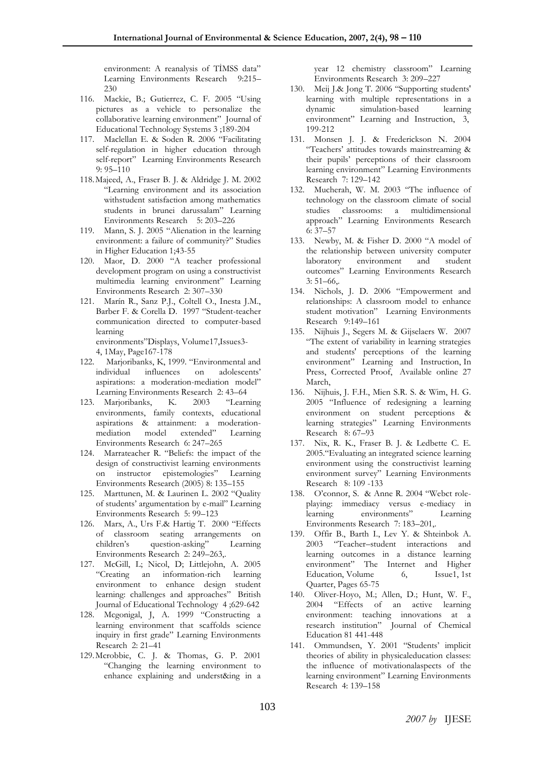environment: A reanalysis of TİMSS data" Learning Environments Research 9:215– 230

- 116. Mackie, B.; Gutierrez, C. F. 2005 "Using pictures as a vehicle to personalize the collaborative learning environment" Journal of Educational Technology Systems 3 ;189-204
- 117. Maclellan E. & Soden R. 2006 "Facilitating self-regulation in higher education through self-report" Learning Environments Research 9: 95–110
- 118.Majeed, A., Fraser B. J. & Aldridge J. M. 2002 "Learning environment and its association withstudent satisfaction among mathematics students in brunei darussalam" Learning Environments Research 5: 203-226
- 119. Mann, S. J. 2005 "Alienation in the learning environment: a failure of community?" Studies in Higher Education 1;43-55
- 120. Maor, D. 2000 "A teacher professional development program on using a constructivist multimedia learning environment" Learning Environments Research 2: 307–330
- 121. Marín R., Sanz P.J., Coltell O., Inesta J.M., Barber F. & Corella D. 1997 "Student-teacher communication directed to computer-based learning

environments"Displays, Volume17,Issues3- 4, 1May, Page167-178

- 122. Marjoribanks, K, 1999. "Environmental and individual influences on adolescents' aspirations: a moderation-mediation model" Learning Environments Research 2: 43–64
- 123. Marjoribanks, K. 2003 "Learning environments, family contexts, educational aspirations & attainment: a moderationmediation model extended" Learning Environments Research 6: 247–265
- 124. Marrateacher R. "Beliefs: the impact of the design of constructivist learning environments on instructor epistemologies" Learning Environments Research (2005) 8: 135–155
- 125. Marttunen, M. & Laurinen L. 2002 "Quality of students' argumentation by e-mail" Learning Environments Research 5: 99–123
- 126. Marx, A., Urs F.& Hartig T. 2000 "Effects of classroom seating arrangements on children's question-asking" Learning Environments Research 2: 249–263,.
- 127. McGill, L; Nicol, D; Littlejohn, A. 2005 "Creating an information-rich learning environment to enhance design student learning: challenges and approaches" British Journal of Educational Technology 4 ;629-642
- 128. Mcgonigal, J, A. 1999 "Constructing a learning environment that scaffolds science inquiry in first grade" Learning Environments Research 2: 21–41
- 129.Mcrobbie, C. J. & Thomas, G. P. 2001 "Changing the learning environment to enhance explaining and underst&ing in a

year 12 chemistry classroom" Learning Environments Research 3: 209–227

- 130. Meij J.& Jong T. 2006 "Supporting students' learning with multiple representations in a dynamic simulation-based learning environment" Learning and Instruction, 3, 199-212
- 131. Monsen J. J. & Frederickson N. 2004 "Teachers' attitudes towards mainstreaming & their pupils' perceptions of their classroom learning environment" Learning Environments Research 7: 129–142
- 132. Mucherah, W. M. 2003 "The influence of technology on the classroom climate of social studies classrooms: a multidimensional approach" Learning Environments Research 6: 37–57
- 133. Newby, M. & Fisher D. 2000 "A model of the relationship between university computer laboratory environment and student outcomes" Learning Environments Research 3: 51–66,.
- 134. Nichols, J. D. 2006 "Empowerment and relationships: A classroom model to enhance student motivation" Learning Environments Research 9:149–161
- 135. Nijhuis J., Segers M. & Gijselaers W. 2007 "The extent of variability in learning strategies and students' perceptions of the learning environment" Learning and Instruction, In Press, Corrected Proof, Available online 27 March,
- 136. Nijhuis, J. F.H., Mien S.R. S. & Wim, H. G. 2005 "Influence of redesigning a learning environment on student perceptions & learning strategies" Learning Environments Research 8: 67–93
- 137. Nix, R. K., Fraser B. J. & Ledbette C. E. 2005."Evaluating an integrated science learning environment using the constructivist learning environment survey" Learning Environments Research 8: 109 -133
- 138. O'connor, S. & Anne R. 2004 "Webct roleplaying: immediacy versus e-mediacy in learning environments" Learning Environments Research 7: 183–201,.
- 139. Offir B., Barth I., Lev Y. & Shteinbok A. 2003 "Teacher–student interactions and learning outcomes in a distance learning environment" The Internet and Higher Education, Volume 6, Issue 1, 1st Quarter, Pages 65-75
- 140. Oliver-Hoyo, M.; Allen, D.; Hunt, W. F., 2004 "[Effects of an active learning](http://firstsearch.oclc.org/WebZ/FSFETCH?fetchtype=fullrecord:sessionid=fsapp8-50188-f0gca2s9-u8f1tc:entitypagenum=25:0:recno=128:resultset=7:format=FI:next=html/record.html:bad=error/badfetch.html:entitytoprecno=128:entitycurrecno=128:numrecs=1)  [environment: teaching innovations at a](http://firstsearch.oclc.org/WebZ/FSFETCH?fetchtype=fullrecord:sessionid=fsapp8-50188-f0gca2s9-u8f1tc:entitypagenum=25:0:recno=128:resultset=7:format=FI:next=html/record.html:bad=error/badfetch.html:entitytoprecno=128:entitycurrecno=128:numrecs=1)  [research institution](http://firstsearch.oclc.org/WebZ/FSFETCH?fetchtype=fullrecord:sessionid=fsapp8-50188-f0gca2s9-u8f1tc:entitypagenum=25:0:recno=128:resultset=7:format=FI:next=html/record.html:bad=error/badfetch.html:entitytoprecno=128:entitycurrecno=128:numrecs=1)" Journal of Chemical Education 81 441-448
- 141. Ommundsen, Y. 2001 "Students' implicit theories of ability in physicaleducation classes: the influence of motivationalaspects of the learning environment" Learning Environments Research 4: 139–158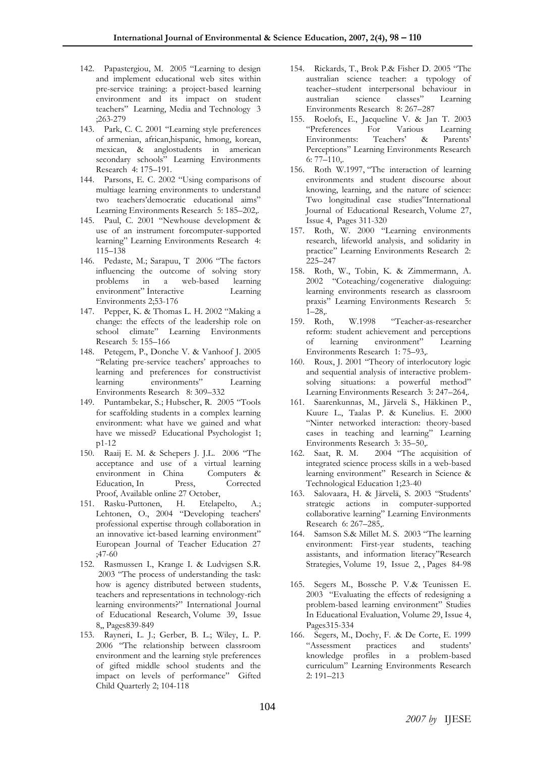- 142. Papastergiou, M. 2005 "Learning to design and implement educational web sites within pre-service training: a project-based learning environment and its impact on student teachers" Learning, Media and Technology 3 ;263-279
- 143. Park, C. C. 2001 "Learning style preferences of armenian, african,hispanic, hmong, korean, mexican, & anglostudents in american secondary schools" Learning Environments Research 4: 175–191.
- 144. Parsons, E. C. 2002 "Using comparisons of multiage learning environments to understand two teachers'democratic educational aims" Learning Environments Research 5: 185–202,.
- 145. Paul, C. 2001 "Newhouse development & use of an instrument forcomputer-supported learning" Learning Environments Research 4: 115–138
- 146. Pedaste, M.; Sarapuu, T 2006 "The factors influencing the outcome of solving story problems in a web-based learning environment" İnteractive Learning Environments 2;53-176
- 147. Pepper, K. & Thomas L. H. 2002 "Making a change: the effects of the leadership role on school climate" Learning Environments Research 5: 155–166
- 148. Petegem, P., Donche V. & Vanhoof J. 2005 "Relating pre-service teachers' approaches to learning and preferences for constructivist learning environments" Learning Environments Research 8: 309–332
- 149. Puntambekar, S.; Hubscher, R. 2005 "Tools for scaffolding students in a complex learning environment: what have we gained and what have we missed? Educational Psychologist 1; p1-12
- 150. Raaij E. M. & Schepers J. J.L. 2006 "The acceptance and use of a virtual learning environment in China Computers & Education, In Press, Corrected Proof, Available online 27 October,
- 151. Rasku-Puttonen, H. Etelapelto, A.; Lehtonen, O., 2004 "Developing teachers' professional expertise through collaboration in an innovative ict-based learning environment" European Journal of Teacher Education 27 ;47-60
- 152. Rasmussen I., Krange I. & Ludvigsen S.R. 2003 "The process of understanding the task: how is agency distributed between students, teachers and representations in technology-rich learning environments?" International Journal of Educational Research, Volume 39, Issue 8,, Pages839-849
- 153. Rayneri, L. J.; Gerber, B. L.; Wiley, L. P. 2006 "The relationship between classroom environment and the learning style preferences of gifted middle school students and the impact on levels of performance" Gifted Child Quarterly 2; 104-118
- 154. Rickards, T., Brok P.& Fisher D. 2005 "The australian science teacher: a typology of teacher–student interpersonal behaviour in australian science classes" Learning Environments Research 8: 267–287
- 155. Roelofs, E., Jacqueline V. & Jan T. 2003 "Preferences For Various Learning Environments: Teachers' & Parents' Perceptions" Learning Environments Research 6: 77–110,.
- 156. Roth W.1997, "The interaction of learning environments and student discourse about knowing, learning, and the nature of science: Two longitudinal case studies"International Journal of Educational Research, Volume 27, Issue 4, Pages 311-320
- 157. Roth, W. 2000 "Learning environments research, lifeworld analysis, and solidarity in practice" Learning Environments Research 2: 225–247
- 158. Roth, W., Tobin, K. & Zimmermann, A. 2002 "Coteaching/cogenerative dialoguing: learning environments research as classroom praxis" Learning Environments Research 5: 1–28,.
- 159. Roth, W.1998 "Teacher-as-researcher reform: student achievement and perceptions of learning environment" Learning Environments Research 1: 75–93,.
- 160. Roux, J. 2001 "Theory of interlocutory logic and sequential analysis of interactive problemsolving situations: a powerful method" Learning Environments Research 3: 247–264,.
- 161. Saarenkunnas, M., Järvelä S., Häkkinen P., Kuure L., Taalas P. & Kunelius. E. 2000 "Ninter networked interaction: theory-based cases in teaching and learning" Learning Environments Research 3: 35–50,.
- 162. Saat, R. M. 2004 "The acquisition of integrated science process skills in a web-based learning environment" Research in Science & Technological Education 1;23-40
- 163. Salovaara, H. & Järvelä, S. 2003 "Students' strategic actions in computer-supported collaborative learning" Learning Environments Research 6: 267–285,.
- 164. Samson S.& Millet M. S. 2003 "The learning environment: First-year students, teaching assistants, and information literacy"Research Strategies, Volume 19, Issue 2, , Pages 84-98
- 165. Segers M., Bossche P. V.& Teunissen E. 2003 "Evaluating the effects of redesigning a problem-based learning environment" Studies In Educational Evaluation, Volume 29, Issue 4, Pages315-334
- 166. Segers, M., Dochy, F. & De Corte, E. 1999<br>
"Assessment practices and students" practices and students' knowledge profiles in a problem-based curriculum" Learning Environments Research 2: 191–213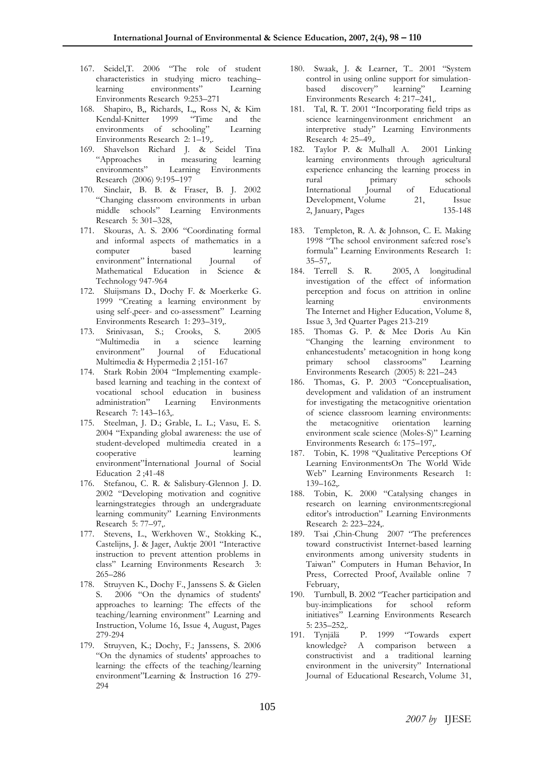- 167. Seidel,T. 2006 "The role of student characteristics in studying micro teaching– learning environments" Learning Environments Research 9:253–271
- 168. Shapiro, B,, Richards, L,, Ross N, & Kim Kendal-Knitter 1999 "Time and the environments of schooling" Learning Environments Research 2: 1–19,.
- 169. Shavelson Richard J. & Seidel Tina "Approaches in measuring learning Learning Environments Research (2006) 9:195–197
- 170. Sinclair, B. B. & Fraser, B. J. 2002 "Changing classroom environments in urban middle schools" Learning Environments Research 5: 301–328,
- 171. Skouras, A. S. 2006 "Coordinating formal and informal aspects of mathematics in a computer based learning environment" İnternational Journal of Mathematical Education in Science & Technology 947-964
- 172. Sluijsmans D., Dochy F. & Moerkerke G. 1999 "Creating a learning environment by using self-,peer- and co-assessment" Learning Environments Research 1: 293–319,.
- 173. Srinivasan, S.; Crooks, S. 2005 "Multimedia in a science learning<br>environment" Journal of Educational environment" Journal of Educational Multimedia & Hypermedia 2 ;151-167
- 174. Stark Robin 2004 "Implementing examplebased learning and teaching in the context of vocational school education in business administration" Learning Environments Research 7: 143–163,.
- 175. Steelman, J. D.; Grable, L. L.; Vasu, E. S. 2004 "Expanding global awareness: the use of student-developed multimedia created in a cooperative learning environment"İnternational Journal of Social Education 2 ;41-48
- 176. Stefanou, C. R. & Salisbury-Glennon J. D. 2002 "Developing motivation and cognitive learningstrategies through an undergraduate learning community" Learning Environments Research 5: 77–97,.
- 177. Stevens, L., Werkhoven W., Stokking K., Castelijns, J. & Jager, Auktje 2001 "Interactive instruction to prevent attention problems in class" Learning Environments Research 3: 265–286
- 178. Struyven K., Dochy F., Janssens S. & Gielen S. 2006 "On the dynamics of students' approaches to learning: The effects of the teaching/learning environment" Learning and Instruction, Volume 16, Issue 4, August, Pages 279-294
- 179. Struyven, K.; Dochy, F.; Janssens, S. 2006 "On the dynamics of students' approaches to learning: the effects of the teaching/learning environment"Learning & İnstruction 16 279- 294
- 180. Swaak, J. & Learner, T.. 2001 "System control in using online support for simulationbased discovery" learning" Learning Environments Research 4: 217–241,.
- 181. Tal, R. T. 2001 "Incorporating field trips as science learningenvironment enrichment an interpretive study" Learning Environments Research 4: 25–49,.
- 182. Taylor P. & Mulhall A. 2001 Linking learning environments through agricultural experience enhancing the learning process in rural primary schools International Journal of Educational Development, Volume 21, Issue 2, January, Pages 135-148
- 183. Templeton, R. A. & Johnson, C. E. Making 1998 "The school environment safe:red rose's formula" Learning Environments Research 1: 35–57,.
- 184. Terrell S. R. 2005, A longitudinal investigation of the effect of information perception and focus on attrition in online learning environments The Internet and Higher Education, Volume 8, Issue 3, 3rd Quarter Pages 213-219
- 185. Thomas G. P. & Mee Doris Au Kin "Changing the learning environment to enhancestudents' metacognition in hong kong primary school classrooms" Learning Environments Research (2005) 8: 221–243
- 186. Thomas, G. P. 2003 "Conceptualisation, development and validation of an instrument for investigating the metacognitive orientation of science classroom learning environments: the metacognitive orientation learning environment scale science (Moles-S)" Learning Environments Research 6: 175–197,.
- 187. Tobin, K. 1998 "Qualitative Perceptions Of Learning EnvironmentsOn The World Wide Web" Learning Environments Research 1: 139–162,.
- 188. Tobin, K. 2000 "Catalysing changes in research on learning environments:regional editor's introduction" Learning Environments Research 2: 223–224,.
- 189. Tsai ,Chin-Chung 2007 "The preferences toward constructivist Internet-based learning environments among university students in Taiwan" Computers in Human Behavior, In Press, Corrected Proof, Available online 7 February,
- 190. Turnbull, B. 2002 "Teacher participation and buy-in:implications for school reform initiatives" Learning Environments Research 5: 235–252,.
- 191. Tynjälä P. 1999 "Towards expert knowledge? A comparison between a constructivist and a traditional learning environment in the university" International Journal of Educational Research, Volume 31,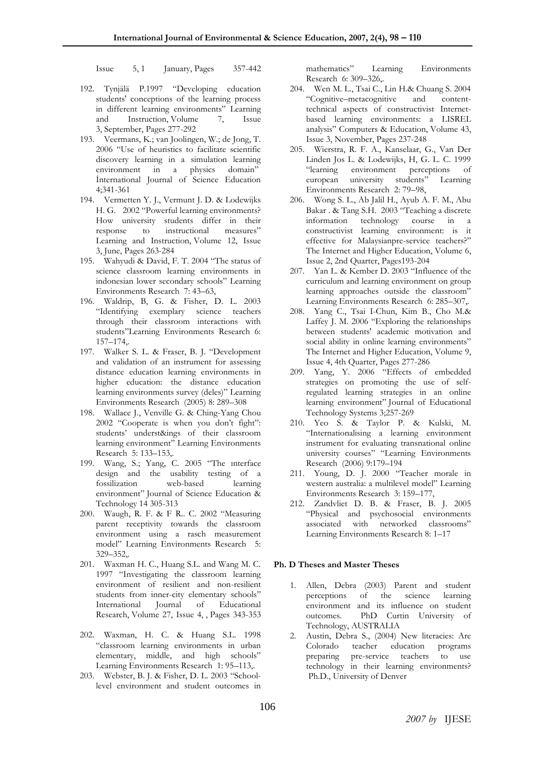Issue 5, 1 January, Pages 357-442

- 192. Tynjälä P.1997 "Developing education students' conceptions of the learning process in different learning environments" Learning and Instruction, Volume 7, Issue 3, September, Pages 277-292
- 193. Veermans, K.; van Joolingen, W.; de Jong, T. 2006 "Use of heuristics to facilitate scientific discovery learning in a simulation learning environment in a physics domain" İnternational Journal of Science Education 4;341-361
- 194. Vermetten Y. J., Vermunt J. D. & Lodewijks H. G. 2002 "Powerful learning environments? How university students differ in their response to instructional measures" Learning and Instruction, Volume 12, Issue 3, June, Pages 263-284
- 195. Wahyudi & David, F. T. 2004 "The status of science classroom learning environments in indonesian lower secondary schools" Learning Environments Research 7: 43–63,
- 196. Waldrip, B, G. & Fisher, D. L. 2003 "Identifying exemplary science teachers through their classroom interactions with students"Learning Environments Research 6: 157–174,.
- 197. Walker S. L. & Fraser, B. J. "Development and validation of an instrument for assessing distance education learning environments in higher education: the distance education learning environments survey (deles)" Learning Environments Research (2005) 8: 289–308
- 198. Wallace J., Venville G. & Ching-Yang Chou 2002 "Cooperate is when you don't fight": students' underst&ings of their classroom learning environment" Learning Environments Research 5: 133–153,.
- 199. Wang, S.; Yang, C. 2005 "The ınterface design and the usability testing of a fossilization web-based learning environment" Journal of Science Education & Technology 14 305-313
- 200. Waugh, R. F. & F R.. C. 2002 "Measuring parent receptivity towards the classroom environment using a rasch measurement model" Learning Environments Research 5: 329–352,.
- 201. Waxman H. C., Huang S.L. and Wang M. C. 1997 "Investigating the classroom learning environment of resilient and non-resilient students from inner-city elementary schools" International Journal of Educational Research, Volume 27, Issue 4, , Pages 343-353
- 202. Waxman, H. C. & Huang S.L. 1998 "classroom learning environments in urban elementary, middle, and high schools" Learning Environments Research 1: 95–113,.
- 203. Webster, B. J. & Fisher, D. L. 2003 "Schoollevel environment and student outcomes in

mathematics" Learning Environments Research 6: 309–326,.

- 204. Wen M. L., Tsai C., Lin H.& Chuang S. 2004 "Cognitive–metacognitive and contenttechnical aspects of constructivist Internetbased learning environments: a LISREL analysis" Computers & Education, Volume 43, Issue 3, November, Pages 237-248
- 205. Wierstra, R. F. A., Kanselaar, G., Van Der Linden Jos L. & Lodewijks, H, G. L. C. 1999 "learning environment perceptions of european university students" Learning Environments Research 2: 79–98,
- 206. Wong S. L., Ab Jalil H., Ayub A. F. M., Abu Bakar . & Tang S.H. 2003 "Teaching a discrete information technology course in a constructivist learning environment: is it effective for Malaysianpre-service teachers?" The Internet and Higher Education, Volume 6, Issue 2, 2nd Quarter, Pages193-204
- 207. Yan L. & Kember D. 2003 "Influence of the curriculum and learning environment on group learning approaches outside the classroom" Learning Environments Research 6: 285–307,.
- 208. Yang C., Tsai I-Chun, Kim B., Cho M.& Laffey J. M. 2006 "Exploring the relationships between students' academic motivation and social ability in online learning environments" The Internet and Higher Education, Volume 9, Issue 4, 4th Quarter, Pages 277-286
- 209. Yang, Y. 2006 "Effects of embedded strategies on promoting the use of selfregulated learning strategies in an online learning environment" Journal of Educational Technology Systems 3;257-269
- 210. Yeo S. & Taylor P. & Kulski, M. "Internationalising a learning environment instrument for evaluating transnational online university courses" "Learning Environments Research (2006) 9:179–194
- 211. Young, D. J. 2000 "Teacher morale in western australia: a multilevel model" Learning Environments Research 3: 159–177,
- 212. Zandvliet D. B. & Fraser, B. J. 2005 "Physical and psychosocial environments associated with networked classrooms" Learning Environments Research 8: 1–17

## **Ph. D Theses and Master Theses**

- 1. Allen, Debra (2003) Parent and student perceptions of the science learning environment and its influence on student outcomes. PhD Curtin University of Technology, AUSTRALIA
- 2. Austin, Debra S., (2004) New literacies: Are Colorado teacher education programs preparing pre-service teachers to use technology in their learning environments? Ph.D., University of Denver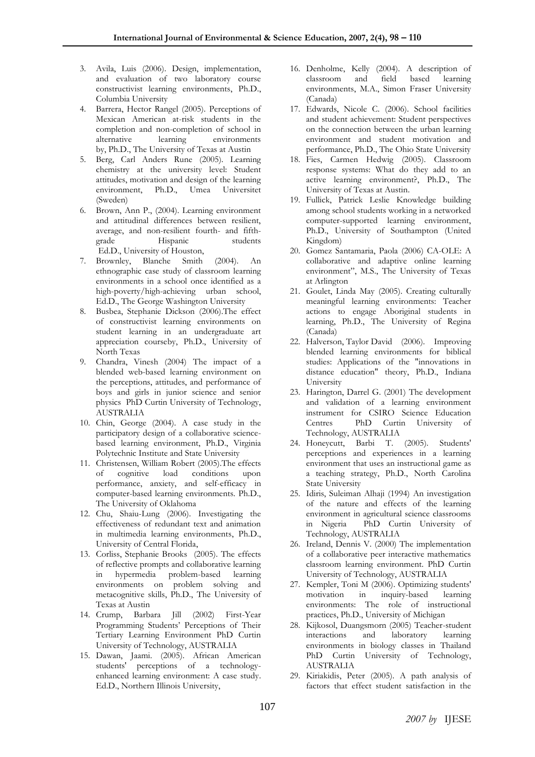- 3. [Avila, Luis](javascript:void(0);) (2006). Design, implementation, and evaluation of two laboratory course constructivist learning environments, Ph.D., Columbia University
- 4. Barrera, Hector Rangel (2005). Perceptions of Mexican American at-risk students in the completion and non-completion of school in alternative learning environments by, Ph.D., The University of Texas at Austin
- 5. Berg, Carl Anders Rune (2005). [Learning](http://proquest.umi.com/pqdweb?index=66&did=953987701&SrchMode=1&sid=2&Fmt=2&VInst=PROD&VType=PQD&RQT=309&VName=PQD&TS=1176295069&clientId=63518)  [chemistry at the university level: Student](http://proquest.umi.com/pqdweb?index=66&did=953987701&SrchMode=1&sid=2&Fmt=2&VInst=PROD&VType=PQD&RQT=309&VName=PQD&TS=1176295069&clientId=63518)  [attitudes, motivation and design of the learning](http://proquest.umi.com/pqdweb?index=66&did=953987701&SrchMode=1&sid=2&Fmt=2&VInst=PROD&VType=PQD&RQT=309&VName=PQD&TS=1176295069&clientId=63518)  [environment,](http://proquest.umi.com/pqdweb?index=66&did=953987701&SrchMode=1&sid=2&Fmt=2&VInst=PROD&VType=PQD&RQT=309&VName=PQD&TS=1176295069&clientId=63518) Ph.D., Umea Universitet (Sweden)
- 6. Brown, Ann P., (2004). Learning environment and attitudinal differences between resilient, average, and non-resilient fourth- and fifthgrade Hispanic students Ed.D., University of Houston,
- 7. Brownley, Blanche Smith (2004). An ethnographic case study of classroom learning environments in a school once identified as a high-poverty/high-achieving urban school, Ed.D., The George Washington University
- 8. Busbea, Stephanie Dickson (2006[\).The effect](http://proquest.umi.com/pqdweb?index=37&did=1196393171&SrchMode=1&sid=2&Fmt=2&VInst=PROD&VType=PQD&RQT=309&VName=PQD&TS=1176294248&clientId=63518)  [of constructivist learning environments on](http://proquest.umi.com/pqdweb?index=37&did=1196393171&SrchMode=1&sid=2&Fmt=2&VInst=PROD&VType=PQD&RQT=309&VName=PQD&TS=1176294248&clientId=63518)  [student learning in an undergraduate art](http://proquest.umi.com/pqdweb?index=37&did=1196393171&SrchMode=1&sid=2&Fmt=2&VInst=PROD&VType=PQD&RQT=309&VName=PQD&TS=1176294248&clientId=63518)  [appreciation courseb](http://proquest.umi.com/pqdweb?index=37&did=1196393171&SrchMode=1&sid=2&Fmt=2&VInst=PROD&VType=PQD&RQT=309&VName=PQD&TS=1176294248&clientId=63518)y, Ph.D., University of North Texas
- 9. Chandra, Vinesh (2004) The impact of a blended web-based learning environment on the perceptions, attitudes, and performance of boys and girls in junior science and senior physics PhD Curtin University of Technology, AUSTRALIA
- 10. Chin, George (2004). [A case study in the](http://proquest.umi.com/pqdweb?index=101&did=795958121&SrchMode=1&sid=2&Fmt=2&VInst=PROD&VType=PQD&RQT=309&VName=PQD&TS=1176295712&clientId=63518)  [participatory design of a collaborative science](http://proquest.umi.com/pqdweb?index=101&did=795958121&SrchMode=1&sid=2&Fmt=2&VInst=PROD&VType=PQD&RQT=309&VName=PQD&TS=1176295712&clientId=63518)[based learning environment,](http://proquest.umi.com/pqdweb?index=101&did=795958121&SrchMode=1&sid=2&Fmt=2&VInst=PROD&VType=PQD&RQT=309&VName=PQD&TS=1176295712&clientId=63518) Ph.D., Virginia Polytechnic Institute and State University
- 11. Christensen, William Robert (2005).The effects of cognitive load conditions upon performance, anxiety, and self-efficacy in computer-based learning environments. Ph.D., The University of Oklahoma
- 12. Chu, Shaiu-Lung (2006). [Investigating the](http://proquest.umi.com/pqdweb?index=22&did=1126794261&SrchMode=1&sid=2&Fmt=2&VInst=PROD&VType=PQD&RQT=309&VName=PQD&TS=1176293303&clientId=63518)  [effectiveness of redundant text and animation](http://proquest.umi.com/pqdweb?index=22&did=1126794261&SrchMode=1&sid=2&Fmt=2&VInst=PROD&VType=PQD&RQT=309&VName=PQD&TS=1176293303&clientId=63518)  [in multimedia learning environments,](http://proquest.umi.com/pqdweb?index=22&did=1126794261&SrchMode=1&sid=2&Fmt=2&VInst=PROD&VType=PQD&RQT=309&VName=PQD&TS=1176293303&clientId=63518) Ph.D., University of Central Florida,
- 13. Corliss, Stephanie Brooks (2005). The effects of reflective prompts and collaborative learning in hypermedia problem-based learning environments on problem solving and metacognitive skills, Ph.D., The University of Texas at Austin
- 14. Crump, Barbara Jill (2002) First-Year Programming Students' Perceptions of Their Tertiary Learning Environment PhD Curtin University of Technology, AUSTRALIA
- 15. Dawan, Jaami. (2005). [African American](http://proquest.umi.com/pqdweb?index=40&did=1095438321&SrchMode=1&sid=2&Fmt=2&VInst=PROD&VType=PQD&RQT=309&VName=PQD&TS=1176294709&clientId=63518)  [students' perceptions of a technology](http://proquest.umi.com/pqdweb?index=40&did=1095438321&SrchMode=1&sid=2&Fmt=2&VInst=PROD&VType=PQD&RQT=309&VName=PQD&TS=1176294709&clientId=63518)[enhanced learning environment: A case study.](http://proquest.umi.com/pqdweb?index=40&did=1095438321&SrchMode=1&sid=2&Fmt=2&VInst=PROD&VType=PQD&RQT=309&VName=PQD&TS=1176294709&clientId=63518)  Ed.D., Northern Illinois University,
- 16. Denholme, Kelly (2004). [A description of](http://proquest.umi.com/pqdweb?index=103&did=974405211&SrchMode=1&sid=2&Fmt=2&VInst=PROD&VType=PQD&RQT=309&VName=PQD&TS=1176295712&clientId=63518)  [classroom and field based learning](http://proquest.umi.com/pqdweb?index=103&did=974405211&SrchMode=1&sid=2&Fmt=2&VInst=PROD&VType=PQD&RQT=309&VName=PQD&TS=1176295712&clientId=63518)  [environments,](http://proquest.umi.com/pqdweb?index=103&did=974405211&SrchMode=1&sid=2&Fmt=2&VInst=PROD&VType=PQD&RQT=309&VName=PQD&TS=1176295712&clientId=63518) M.A., Simon Fraser University (Canada)
- 17. Edwards, Nicole C. (2006). School facilities and student achievement: Student perspectives on the connection between the urban learning environment and student motivation and performance, Ph.D., The Ohio State University
- 18. Fies, Carmen Hedwig (2005). [Classroom](http://proquest.umi.com/pqdweb?index=49&did=1014323821&SrchMode=1&sid=2&Fmt=2&VInst=PROD&VType=PQD&RQT=309&VName=PQD&TS=1176294709&clientId=63518)  [response systems: What do they add to an](http://proquest.umi.com/pqdweb?index=49&did=1014323821&SrchMode=1&sid=2&Fmt=2&VInst=PROD&VType=PQD&RQT=309&VName=PQD&TS=1176294709&clientId=63518)  [active learning environment?,](http://proquest.umi.com/pqdweb?index=49&did=1014323821&SrchMode=1&sid=2&Fmt=2&VInst=PROD&VType=PQD&RQT=309&VName=PQD&TS=1176294709&clientId=63518) Ph.D., The University of Texas at Austin.
- 19. Fullick, Patrick Leslie Knowledge building among school students working in a networked computer-supported learning environment, Ph.D., University of Southampton (United Kingdom)
- 20. Gomez Santamaria, Paola (2006) CA-OLE: A collaborative and adaptive online learning environment", M.S., The University of Texas at Arlington
- 21. Goulet, Linda May (2005). Creating culturally meaningful learning environments: Teacher actions to engage Aboriginal students in learning, Ph.D., The University of Regina (Canada)
- 22. Halverson, Taylor David (2006). Improving blended learning environments for biblical studies: Applications of the "innovations in distance education" theory, Ph.D., Indiana University
- 23. Harington, Darrel G. (2001) The development and validation of a learning environment instrument for CSIRO Science Education Centres PhD Curtin University of Technology, AUSTRALIA
- 24. Honeycutt, Barbi T. (2005). Students' perceptions and experiences in a learning environment that uses an instructional game as a teaching strategy, Ph.D., North Carolina State University
- 25. Idiris, Suleiman Alhaji (1994) An investigation of the nature and effects of the learning environment in agricultural science classrooms in Nigeria PhD Curtin University of Technology, AUSTRALIA
- 26. Ireland, Dennis V. (2000) The implementation of a collaborative peer interactive mathematics classroom learning environment. PhD Curtin University of Technology, AUSTRALIA
- 27. Kempler, Toni M (2006). Optimizing students' motivation in inquiry-based learning environments: The role of instructional practices, Ph.D., University of Michigan
- 28. Kijkosol, Duangsmorn (2005) Teacher-student interactions and laboratory learning environments in biology classes in Thailand PhD Curtin University of Technology, AUSTRALIA
- 29. Kiriakidis, Peter (2005). [A path analysis of](http://proquest.umi.com/pqdweb?index=43&did=953993361&SrchMode=1&sid=2&Fmt=2&VInst=PROD&VType=PQD&RQT=309&VName=PQD&TS=1176294709&clientId=63518)  [factors that effect student satisfaction in the](http://proquest.umi.com/pqdweb?index=43&did=953993361&SrchMode=1&sid=2&Fmt=2&VInst=PROD&VType=PQD&RQT=309&VName=PQD&TS=1176294709&clientId=63518)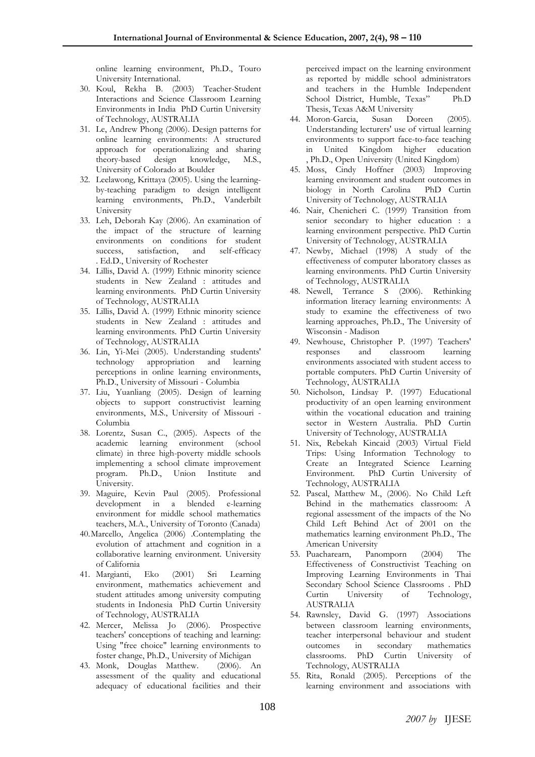online learning environment, Ph.D., Touro University International.

- 30. Koul, Rekha B. (2003) Teacher-Student Interactions and Science Classroom Learning Environments in India PhD Curtin University of Technology, AUSTRALIA
- 31. Le, Andrew Phong (2006). Design patterns for online learning environments: A structured approach for operationalizing and sharing theory-based design knowledge, M.S., University of Colorado at Boulder
- 32. Leelawong, Krittaya (2005). Using the learningby-teaching paradigm to design intelligent learning environments, Ph.D., Vanderbilt University
- 33. Leh, Deborah Kay (2006). An examination of the impact of the structure of learning environments on conditions for student success, satisfaction, and self-efficacy . Ed.D., University of Rochester
- 34. Lillis, David A. (1999) Ethnic minority science students in New Zealand : attitudes and learning environments. PhD Curtin University of Technology, AUSTRALIA
- 35. Lillis, David A. (1999) Ethnic minority science students in New Zealand : attitudes and learning environments. PhD Curtin University of Technology, AUSTRALIA
- 36. Lin, Yi-Mei (2005). Understanding students' technology appropriation and learning perceptions in online learning environments, Ph.D., University of Missouri - Columbia
- 37. Liu, Yuanliang (2005). [Design of learning](http://proquest.umi.com/pqdweb?index=53&did=1196392901&SrchMode=1&sid=2&Fmt=2&VInst=PROD&VType=PQD&RQT=309&VName=PQD&TS=1176294931&clientId=63518)  [objects to support constructivist learning](http://proquest.umi.com/pqdweb?index=53&did=1196392901&SrchMode=1&sid=2&Fmt=2&VInst=PROD&VType=PQD&RQT=309&VName=PQD&TS=1176294931&clientId=63518)  [environments,](http://proquest.umi.com/pqdweb?index=53&did=1196392901&SrchMode=1&sid=2&Fmt=2&VInst=PROD&VType=PQD&RQT=309&VName=PQD&TS=1176294931&clientId=63518) M.S., University of Missouri - Columbia
- 38. Lorentz, Susan C., (2005). [Aspects of the](http://proquest.umi.com/pqdweb?index=44&did=1016018201&SrchMode=1&sid=2&Fmt=2&VInst=PROD&VType=PQD&RQT=309&VName=PQD&TS=1176294709&clientId=63518)  [academic learning environment \(school](http://proquest.umi.com/pqdweb?index=44&did=1016018201&SrchMode=1&sid=2&Fmt=2&VInst=PROD&VType=PQD&RQT=309&VName=PQD&TS=1176294709&clientId=63518)  [climate\) in three high-poverty middle schools](http://proquest.umi.com/pqdweb?index=44&did=1016018201&SrchMode=1&sid=2&Fmt=2&VInst=PROD&VType=PQD&RQT=309&VName=PQD&TS=1176294709&clientId=63518)  [implementing a school climate improvement](http://proquest.umi.com/pqdweb?index=44&did=1016018201&SrchMode=1&sid=2&Fmt=2&VInst=PROD&VType=PQD&RQT=309&VName=PQD&TS=1176294709&clientId=63518)  [program.](http://proquest.umi.com/pqdweb?index=44&did=1016018201&SrchMode=1&sid=2&Fmt=2&VInst=PROD&VType=PQD&RQT=309&VName=PQD&TS=1176294709&clientId=63518) Ph.D., Union Institute and University.
- 39. Maguire, Kevin Paul (2005). [Professional](http://proquest.umi.com/pqdweb?index=72&did=1001865871&SrchMode=1&sid=2&Fmt=2&VInst=PROD&VType=PQD&RQT=309&VName=PQD&TS=1176295264&clientId=63518)  [development in a blended e-learning](http://proquest.umi.com/pqdweb?index=72&did=1001865871&SrchMode=1&sid=2&Fmt=2&VInst=PROD&VType=PQD&RQT=309&VName=PQD&TS=1176295264&clientId=63518)  [environment for middle school mathematics](http://proquest.umi.com/pqdweb?index=72&did=1001865871&SrchMode=1&sid=2&Fmt=2&VInst=PROD&VType=PQD&RQT=309&VName=PQD&TS=1176295264&clientId=63518)  [teachers,](http://proquest.umi.com/pqdweb?index=72&did=1001865871&SrchMode=1&sid=2&Fmt=2&VInst=PROD&VType=PQD&RQT=309&VName=PQD&TS=1176295264&clientId=63518) M.A., University of Toronto (Canada)
- 40.Marcello, Angelica (2006) .Contemplating the evolution of attachment and cognition in a collaborative learning environment. University of California
- 41. Margianti, Eko (2001) Sri Learning environment, mathematics achievement and student attitudes among university computing students in Indonesia PhD Curtin University of Technology, AUSTRALIA
- 42. Mercer, Melissa Jo (2006). Prospective teachers' conceptions of teaching and learning: Using "free choice" learning environments to foster change, Ph.D., University of Michigan
- 43. Monk, Douglas Matthew. (2006). An assessment of the quality and educational adequacy of educational facilities and their

perceived impact on the learning environment as reported by middle school administrators and teachers in the Humble Independent School District, Humble, Texas" Ph.D Thesis, Texas A&M University

- 44. Moron-Garcia, Susan Doreen (2005). Understanding lecturers' use of virtual learning environments to support face-to-face teaching in United Kingdom higher education , Ph.D., Open University (United Kingdom)
- 45. Moss, Cindy Hoffner (2003) Improving learning environment and student outcomes in biology in North Carolina PhD Curtin University of Technology, AUSTRALIA
- 46. Nair, Chenicheri C. (1999) Transition from senior secondary to higher education : a learning environment perspective. PhD Curtin University of Technology, AUSTRALIA
- 47. Newby, Michael (1998) A study of the effectiveness of computer laboratory classes as learning environments. PhD Curtin University of Technology, AUSTRALIA
- 48. Newell, Terrance S (2006). [Rethinking](http://proquest.umi.com/pqdweb?index=31&did=1221683341&SrchMode=1&sid=2&Fmt=2&VInst=PROD&VType=PQD&RQT=309&VName=PQD&TS=1176294248&clientId=63518)  [information literacy learning environments: A](http://proquest.umi.com/pqdweb?index=31&did=1221683341&SrchMode=1&sid=2&Fmt=2&VInst=PROD&VType=PQD&RQT=309&VName=PQD&TS=1176294248&clientId=63518)  [study to examine the effectiveness of two](http://proquest.umi.com/pqdweb?index=31&did=1221683341&SrchMode=1&sid=2&Fmt=2&VInst=PROD&VType=PQD&RQT=309&VName=PQD&TS=1176294248&clientId=63518)  [learning approaches,](http://proquest.umi.com/pqdweb?index=31&did=1221683341&SrchMode=1&sid=2&Fmt=2&VInst=PROD&VType=PQD&RQT=309&VName=PQD&TS=1176294248&clientId=63518) Ph.D., The University of Wisconsin - Madison
- 49. Newhouse, Christopher P. (1997) Teachers' responses and classroom learning environments associated with student access to portable computers. PhD Curtin University of Technology, AUSTRALIA
- 50. Nicholson, Lindsay P. (1997) Educational productivity of an open learning environment within the vocational education and training sector in Western Australia. PhD Curtin University of Technology, AUSTRALIA
- 51. Nix, Rebekah Kincaid (2003) Virtual Field Trips: Using Information Technology to Create an Integrated Science Learning Environment. PhD Curtin University of Technology, AUSTRALIA
- 52. Pascal, Matthew M., (2006). No Child Left Behind in the mathematics classroom: A regional assessment of the impacts of the No Child Left Behind Act of 2001 on the mathematics learning environment Ph.D., The American University
- 53. Puacharearn, Panomporn (2004) The Effectiveness of Constructivist Teaching on Improving Learning Environments in Thai Secondary School Science Classrooms . PhD Curtin University of Technology, AUSTRALIA
- 54. Rawnsley, David G. (1997) Associations between classroom learning environments, teacher interpersonal behaviour and student outcomes in secondary mathematics classrooms. PhD Curtin University of Technology, AUSTRALIA
- 55. Rita, Ronald (2005). Perceptions of the learning environment and associations with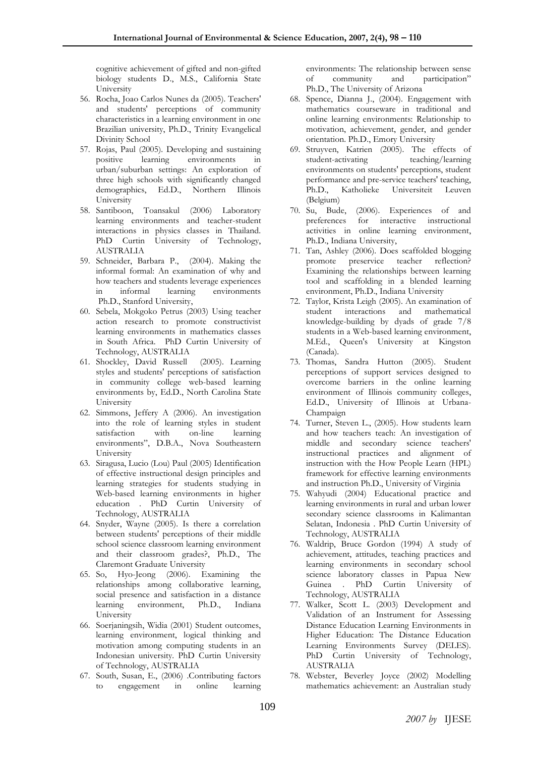cognitive achievement of gifted and non-gifted biology students D., M.S., California State University

- 56. Rocha, Joao Carlos Nunes da (2005). Teachers' and students' perceptions of community characteristics in a learning environment in one Brazilian university, Ph.D., Trinity Evangelical Divinity School
- 57. Rojas, Paul (2005). Developing and sustaining positive learning environments in urban/suburban settings: An exploration of three high schools with significantly changed demographics, Ed.D., Northern Illinois University
- 58. Santiboon, Toansakul (2006) Laboratory learning environments and teacher-student interactions in physics classes in Thailand. PhD Curtin University of Technology, AUSTRALIA
- 59. Schneider, Barbara P., (2004). Making the informal formal: An examination of why and how teachers and students leverage experiences in informal learning environments Ph.D., Stanford University,
- 60. Sebela, Mokgoko Petrus (2003) Using teacher action research to promote constructivist learning environments in mathematics classes in South Africa. PhD Curtin University of Technology, AUSTRALIA
- 61. Shockley, David Russell (2005). Learning styles and students' perceptions of satisfaction in community college web-based learning environments by, Ed.D., North Carolina State University
- 62. Simmons, Jeffery A (2006). An investigation into the role of learning styles in student satisfaction with on-line learning environments", D.B.A., Nova Southeastern University
- 63. Siragusa, Lucio (Lou) Paul (2005) Identification of effective instructional design principles and learning strategies for students studying in Web-based learning environments in higher education . PhD Curtin University of Technology, AUSTRALIA
- 64. Snyder, Wayne (2005). [Is there a correlation](http://proquest.umi.com/pqdweb?index=65&did=932373241&SrchMode=1&sid=2&Fmt=2&VInst=PROD&VType=PQD&RQT=309&VName=PQD&TS=1176295069&clientId=63518)  [between students' perceptions of their middle](http://proquest.umi.com/pqdweb?index=65&did=932373241&SrchMode=1&sid=2&Fmt=2&VInst=PROD&VType=PQD&RQT=309&VName=PQD&TS=1176295069&clientId=63518)  [school science classroom learning environment](http://proquest.umi.com/pqdweb?index=65&did=932373241&SrchMode=1&sid=2&Fmt=2&VInst=PROD&VType=PQD&RQT=309&VName=PQD&TS=1176295069&clientId=63518)  [and their classroom grades?,](http://proquest.umi.com/pqdweb?index=65&did=932373241&SrchMode=1&sid=2&Fmt=2&VInst=PROD&VType=PQD&RQT=309&VName=PQD&TS=1176295069&clientId=63518) Ph.D., The Claremont Graduate University
- 65. So, Hyo-Jeong (2006). Examining the relationships among collaborative learning, social presence and satisfaction in a distance learning environment, Ph.D., Indiana University
- 66. Soerjaningsih, Widia (2001) Student outcomes, learning environment, logical thinking and motivation among computing students in an Indonesian university. PhD Curtin University of Technology, AUSTRALIA
- 67. South, Susan, E., (2006) .Contributing factors to engagement in online learning

environments: The relationship between sense of community and participation" Ph.D., The University of Arizona

- 68. Spence, Dianna J., (2004). Engagement with mathematics courseware in traditional and online learning environments: Relationship to motivation, achievement, gender, and gender orientation. Ph.D., Emory University
- 69. Struyven, Katrien (2005). The effects of student-activating teaching/learning environments on students' perceptions, student performance and pre-service teachers' teaching, Ph.D., Katholieke Universiteit Leuven (Belgium)
- 70. [Su, Bude,](javascript:void(0);) (2006). Experiences of and preferences for interactive instructional activities in online learning environment, Ph.D., Indiana University,
- 71. [Tan, Ashley](javascript:void(0);) (2006). Does scaffolded blogging promote preservice teacher reflection? Examining the relationships between learning tool and scaffolding in a blended learning environment, Ph.D., Indiana University
- 72. Taylor, Krista Leigh (2005). An examination of student interactions and mathematical knowledge-building by dyads of grade 7/8 students in a Web-based learning environment, M.Ed., Queen's University at Kingston (Canada).
- 73. Thomas, Sandra Hutton (2005). Student perceptions of support services designed to overcome barriers in the online learning environment of Illinois community colleges, Ed.D., University of Illinois at Urbana-Champaign
- 74. Turner, Steven L., (2005). How students learn and how teachers teach: An investigation of middle and secondary science teachers' instructional practices and alignment of instruction with the How People Learn (HPL) framework for effective learning environments and instruction Ph.D., University of Virginia
- 75. Wahyudi (2004) Educational practice and learning environments in rural and urban lower secondary science classrooms in Kalimantan Selatan, Indonesia . PhD Curtin University of Technology, AUSTRALIA
- 76. Waldrip, Bruce Gordon (1994) A study of achievement, attitudes, teaching practices and learning environments in secondary school science laboratory classes in Papua New Guinea . PhD Curtin University of Technology, AUSTRALIA
- 77. Walker, Scott L. (2003) Development and Validation of an Instrument for Assessing Distance Education Learning Environments in Higher Education: The Distance Education Learning Environments Survey (DELES). PhD Curtin University of Technology, AUSTRALIA
- 78. Webster, Beverley Joyce (2002) Modelling mathematics achievement: an Australian study